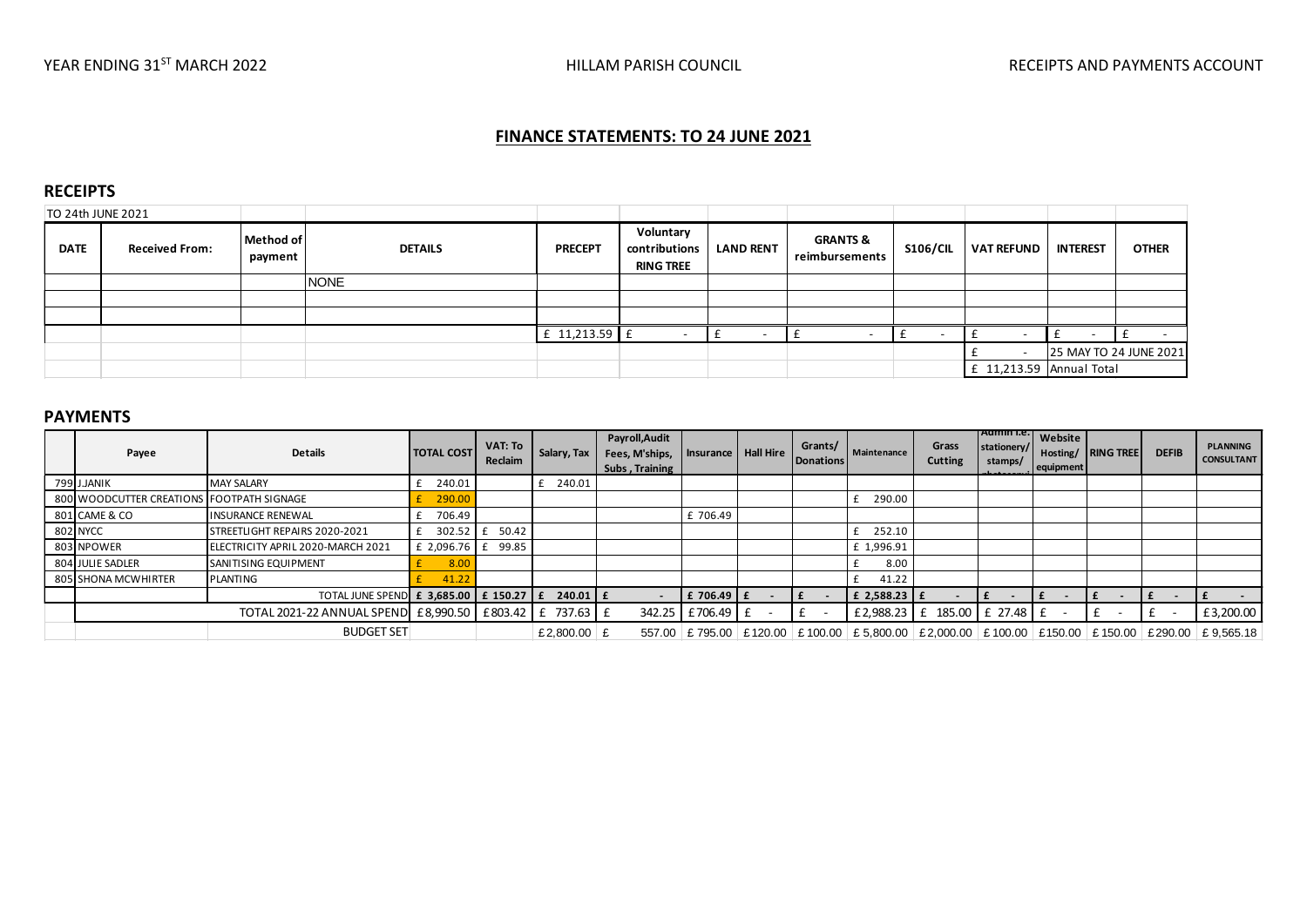# **FINANCE STATEMENTS: TO 24 JUNE 2021**

### **RECEIPTS**

| TO 24th JUNE 2021 |                       |                      |                |                |                                                |                  |                                       |          |                            |                 |                        |
|-------------------|-----------------------|----------------------|----------------|----------------|------------------------------------------------|------------------|---------------------------------------|----------|----------------------------|-----------------|------------------------|
| <b>DATE</b>       | <b>Received From:</b> | Method of<br>payment | <b>DETAILS</b> | <b>PRECEPT</b> | Voluntary<br>contributions<br><b>RING TREE</b> | <b>LAND RENT</b> | <b>GRANTS &amp;</b><br>reimbursements | S106/CIL | <b>VAT REFUND</b>          | <b>INTEREST</b> | <b>OTHER</b>           |
|                   |                       |                      | <b>NONE</b>    |                |                                                |                  |                                       |          |                            |                 |                        |
|                   |                       |                      |                |                |                                                |                  |                                       |          |                            |                 |                        |
|                   |                       |                      |                |                |                                                |                  |                                       |          |                            |                 |                        |
|                   |                       |                      |                | £ 11,213.59 £  |                                                |                  |                                       |          |                            |                 |                        |
|                   |                       |                      |                |                |                                                |                  |                                       |          |                            |                 | 25 MAY TO 24 JUNE 2021 |
|                   |                       |                      |                |                |                                                |                  |                                       |          | $f$ 11,213.59 Annual Total |                 |                        |

#### **PAYMENTS**

| <b>PAYMENTS</b>                           |                                                         |                         |                    |              |                                                    |                       |                      |                               |                            |                                        |                             |                           |              |                                                                                                      |
|-------------------------------------------|---------------------------------------------------------|-------------------------|--------------------|--------------|----------------------------------------------------|-----------------------|----------------------|-------------------------------|----------------------------|----------------------------------------|-----------------------------|---------------------------|--------------|------------------------------------------------------------------------------------------------------|
| Payee                                     | <b>Details</b>                                          | <b>TOTAL COST</b>       | VAT: To<br>Reclaim | Salary, Tax  | Payroll, Audit<br>Fees, M'ships,<br>Subs, Training | Insurance   Hall Hire | Grants/<br>Donations | Maintenance                   | Grass<br>Cutting           | Admin I.e.  <br>stationery/<br>stamps/ | <b>Website</b><br>equipment | <b>Hosting/</b> RING TREE | <b>DEFIB</b> | <b>PLANNING</b><br><b>CONSULTANT</b>                                                                 |
| 799 J.JANIK                               | <b>MAY SALARY</b>                                       | 240.01                  |                    | 240.01       |                                                    |                       |                      |                               |                            |                                        |                             |                           |              |                                                                                                      |
| 800 WOODCUTTER CREATIONS FOOTPATH SIGNAGE |                                                         | 290.00                  |                    |              |                                                    |                       |                      | 290.00                        |                            |                                        |                             |                           |              |                                                                                                      |
| 801 CAME & CO                             | <b>INSURANCE RENEWAL</b>                                | 706.49                  |                    |              |                                                    | £706.49               |                      |                               |                            |                                        |                             |                           |              |                                                                                                      |
| 802 NYCC                                  | STREETLIGHT REPAIRS 2020-2021                           |                         |                    |              |                                                    |                       |                      | 252.10                        |                            |                                        |                             |                           |              |                                                                                                      |
| 803 NPOWER                                | ELECTRICITY APRIL 2020-MARCH 2021                       | £ 2,096.76 $\leq$ 99.85 |                    |              |                                                    |                       |                      | £ 1,996.91                    |                            |                                        |                             |                           |              |                                                                                                      |
| 804 JULIE SADLER                          | SANITISING EQUIPMENT                                    | 8.00                    |                    |              |                                                    |                       |                      | 8.00                          |                            |                                        |                             |                           |              |                                                                                                      |
| 805 SHONA MCWHIRTER                       | <b>PLANTING</b>                                         | 41.22                   |                    |              |                                                    |                       |                      | 41.22                         |                            |                                        |                             |                           |              |                                                                                                      |
|                                           | TOTAL JUNE SPEND E 3,685.00 E 150.27 E                  |                         |                    | $240.01$ $E$ |                                                    | £ 706.49 E            |                      | £ 2,588.23 $E$                |                            |                                        |                             |                           |              |                                                                                                      |
|                                           | TOTAL 2021-22 ANNUAL SPEND £8,990.50 £803.42 £ 737.63 £ |                         |                    |              |                                                    | 342.25 £706.49 £      | t.                   |                               | £2,988.23 £ 185.00 £ 27.48 |                                        |                             |                           |              | £3,200.00                                                                                            |
|                                           | <b>BUDGET SET</b>                                       |                         |                    | £2,800.00 £  |                                                    | 557.00 £795.00        |                      | £120.00   £100.00   £5,800.00 |                            |                                        |                             |                           |              | $\vert$ £2,000.00 $\vert$ £100.00 $\vert$ £150.00 $\vert$ £150.00 $\vert$ £290.00 $\vert$ £ 9,565.18 |